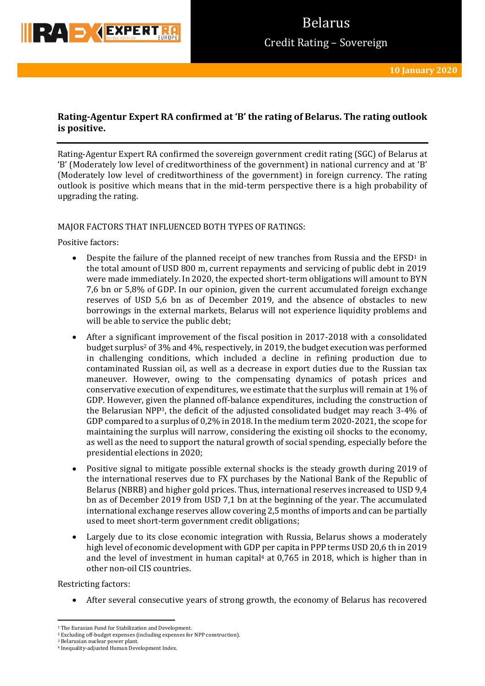

## **Rating-Agentur Expert RA confirmed at 'B' the rating of Belarus. The rating outlook is positive.**

Rating-Agentur Expert RA confirmed the sovereign government credit rating (SGC) of Belarus at 'B' (Moderately low level of creditworthiness of the government) in national currency and at 'B' (Moderately low level of creditworthiness of the government) in foreign currency. The rating outlook is positive which means that in the mid-term perspective there is a high probability of upgrading the rating.

### MAJOR FACTORS THAT INFLUENCED BOTH TYPES OF RATINGS:

Positive factors:

- **•** Despite the failure of the planned receipt of new tranches from Russia and the  $EFSD<sup>1</sup>$  in the total amount of USD 800 m, current repayments and servicing of public debt in 2019 were made immediately. In 2020, the expected short-term obligations will amount to BYN 7,6 bn or 5,8% of GDP. In our opinion, given the current accumulated foreign exchange reserves of USD 5,6 bn as of December 2019, and the absence of obstacles to new borrowings in the external markets, Belarus will not experience liquidity problems and will be able to service the public debt;
- After a significant improvement of the fiscal position in 2017-2018 with a consolidated budget surplus<sup>2</sup> of 3% and 4%, respectively, in 2019, the budget execution was performed in challenging conditions, which included a decline in refining production due to contaminated Russian oil, as well as a decrease in export duties due to the Russian tax maneuver. However, owing to the compensating dynamics of potash prices and conservative execution of expenditures, we estimate that the surplus will remain at 1% of GDP. However, given the planned off-balance expenditures, including the construction of the Belarusian NPP3, the deficit of the adjusted consolidated budget may reach 3-4% of GDP compared to a surplus of 0,2% in 2018. In the medium term 2020-2021, the scope for maintaining the surplus will narrow, considering the existing oil shocks to the economy, as well as the need to support the natural growth of social spending, especially before the presidential elections in 2020;
- Positive signal to mitigate possible external shocks is the steady growth during 2019 of the international reserves due to FX purchases by the National Bank of the Republic of Belarus (NBRB) and higher gold prices. Thus, international reserves increased to USD 9,4 bn as of December 2019 from USD 7,1 bn at the beginning of the year. The accumulated international exchange reserves allow covering 2,5 months of imports and can be partially used to meet short-term government credit obligations;
- Largely due to its close economic integration with Russia, Belarus shows a moderately high level of economic development with GDP per capita in PPP terms USD 20,6 th in 2019 and the level of investment in human capital $4$  at 0,765 in 2018, which is higher than in other non-oil CIS countries.

Restricting factors:

After several consecutive years of strong growth, the economy of Belarus has recovered

<sup>3</sup> Belarusian nuclear power plant.

<sup>1</sup> <sup>1</sup> The Eurasian Fund for Stabilization and Development.

<sup>&</sup>lt;sup>2</sup> Excluding off-budget expenses (including expenses for NPP construction).

<sup>4</sup> Inequality-adjusted Human Development Index.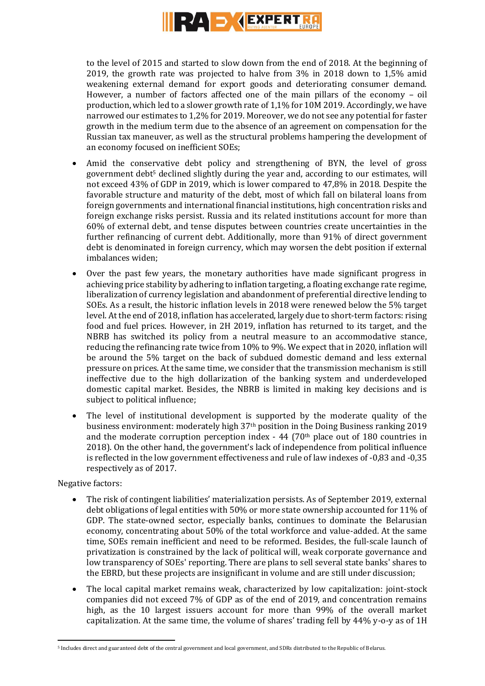

to the level of 2015 and started to slow down from the end of 2018. At the beginning of 2019, the growth rate was projected to halve from 3% in 2018 down to 1,5% amid weakening external demand for export goods and deteriorating consumer demand. However, a number of factors affected one of the main pillars of the economy – oil production, which led to a slower growth rate of 1,1% for 10M 2019. Accordingly, we have narrowed our estimates to 1,2% for 2019. Moreover, we do not see any potential for faster growth in the medium term due to the absence of an agreement on compensation for the Russian tax maneuver, as well as the structural problems hampering the development of an economy focused on inefficient SOEs;

- Amid the conservative debt policy and strengthening of BYN, the level of gross government debt<sup>5</sup> declined slightly during the year and, according to our estimates, will not exceed 43% of GDP in 2019, which is lower compared to 47,8% in 2018. Despite the favorable structure and maturity of the debt, most of which fall on bilateral loans from foreign governments and international financial institutions, high concentration risks and foreign exchange risks persist. Russia and its related institutions account for more than 60% of external debt, and tense disputes between countries create uncertainties in the further refinancing of current debt. Additionally, more than 91% of direct government debt is denominated in foreign currency, which may worsen the debt position if external imbalances widen;
- Over the past few years, the monetary authorities have made significant progress in achieving price stability by adhering to inflation targeting, a floating exchange rate regime, liberalization of currency legislation and abandonment of preferential directive lending to SOEs. As a result, the historic inflation levels in 2018 were renewed below the 5% target level. At the end of 2018, inflation has accelerated, largely due to short-term factors: rising food and fuel prices. However, in 2H 2019, inflation has returned to its target, and the NBRB has switched its policy from a neutral measure to an accommodative stance, reducing the refinancing rate twice from 10% to 9%. We expect that in 2020, inflation will be around the 5% target on the back of subdued domestic demand and less external pressure on prices. At the same time, we consider that the transmission mechanism is still ineffective due to the high dollarization of the banking system and underdeveloped domestic capital market. Besides, the NBRB is limited in making key decisions and is subject to political influence;
- The level of institutional development is supported by the moderate quality of the business environment: moderately high 37th position in the Doing Business ranking 2019 and the moderate corruption perception index  $-44$  (70<sup>th</sup> place out of 180 countries in 2018). On the other hand, the government's lack of independence from political influence is reflected in the low government effectiveness and rule of law indexes of -0,83 and -0,35 respectively as of 2017.

### Negative factors:

**.** 

- The risk of contingent liabilities' materialization persists. As of September 2019, external debt obligations of legal entities with 50% or more state ownership accounted for 11% of GDP. The state-owned sector, especially banks, continues to dominate the Belarusian economy, concentrating about 50% of the total workforce and value-added. At the same time, SOEs remain inefficient and need to be reformed. Besides, the full-scale launch of privatization is constrained by the lack of political will, weak corporate governance and low transparency of SOEs' reporting. There are plans to sell several state banks' shares to the EBRD, but these projects are insignificant in volume and are still under discussion;
- The local capital market remains weak, characterized by low capitalization: joint-stock companies did not exceed 7% of GDP as of the end of 2019, and concentration remains high, as the 10 largest issuers account for more than 99% of the overall market capitalization. At the same time, the volume of shares' trading fell by 44% y-o-y as of 1H

<sup>5</sup> Includes direct and guaranteed debt of the central government and local government, and SDRs distributed to the Republic of Belarus.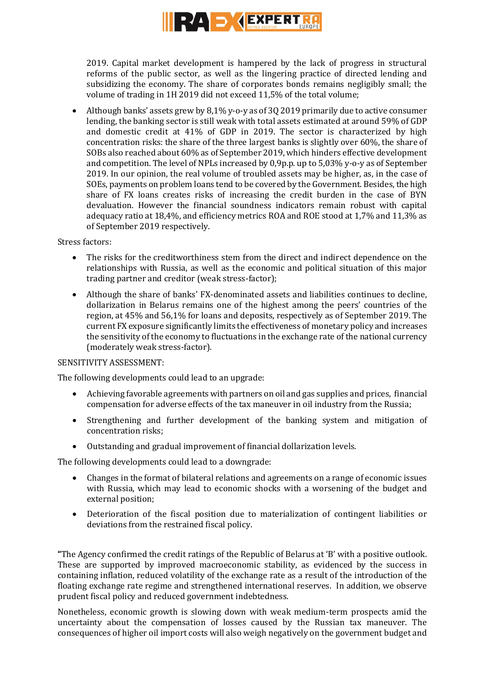

2019. Capital market development is hampered by the lack of progress in structural reforms of the public sector, as well as the lingering practice of directed lending and subsidizing the economy. The share of corporates bonds remains negligibly small; the volume of trading in 1H 2019 did not exceed 11,5% of the total volume;

 Although banks' assets grew by 8,1% y-o-y as of 3Q2019 primarily due to active consumer lending, the banking sector is still weak with total assets estimated at around 59% of GDP and domestic credit at 41% of GDP in 2019. The sector is characterized by high concentration risks: the share of the three largest banks is slightly over 60%, the share of SOBs also reached about 60% as of September 2019, which hinders effective development and competition. The level of NPLs increased by 0,9p.p. up to 5,03% y-o-y as of September 2019. In our opinion, the real volume of troubled assets may be higher, as, in the case of SOEs, payments on problem loans tend to be covered by the Government. Besides, the high share of FX loans creates risks of increasing the credit burden in the case of BYN devaluation. However the financial soundness indicators remain robust with capital adequacy ratio at 18,4%, and efficiency metrics ROA and ROE stood at 1,7% and 11,3% as of September 2019 respectively.

### Stress factors:

- The risks for the creditworthiness stem from the direct and indirect dependence on the relationships with Russia, as well as the economic and political situation of this major trading partner and creditor (weak stress-factor);
- Although the share of banks' FX-denominated assets and liabilities continues to decline, dollarization in Belarus remains one of the highest among the peers' countries of the region, at 45% and 56,1% for loans and deposits, respectively as of September 2019. The current FX exposure significantly limits the effectiveness of monetary policy and increases the sensitivity of the economy to fluctuations in the exchange rate of the national currency (moderately weak stress-factor).

### SENSITIVITY ASSESSMENT:

The following developments could lead to an upgrade:

- Achieving favorable agreements with partners on oil and gas supplies and prices, financial compensation for adverse effects of the tax maneuver in oil industry from the Russia;
- Strengthening and further development of the banking system and mitigation of concentration risks;
- Outstanding and gradual improvement of financial dollarization levels.

The following developments could lead to a downgrade:

- Changes in the format of bilateral relations and agreements on a range of economic issues with Russia, which may lead to economic shocks with a worsening of the budget and external position;
- Deterioration of the fiscal position due to materialization of contingent liabilities or deviations from the restrained fiscal policy.

**"**The Agency confirmed the credit ratings of the Republic of Belarus at 'В' with a positive outlook. These are supported by improved macroeconomic stability, as evidenced by the success in containing inflation, reduced volatility of the exchange rate as a result of the introduction of the floating exchange rate regime and strengthened international reserves. In addition, we observe prudent fiscal policy and reduced government indebtedness.

Nonetheless, economic growth is slowing down with weak medium-term prospects amid the uncertainty about the compensation of losses caused by the Russian tax maneuver. The consequences of higher oil import costs will also weigh negatively on the government budget and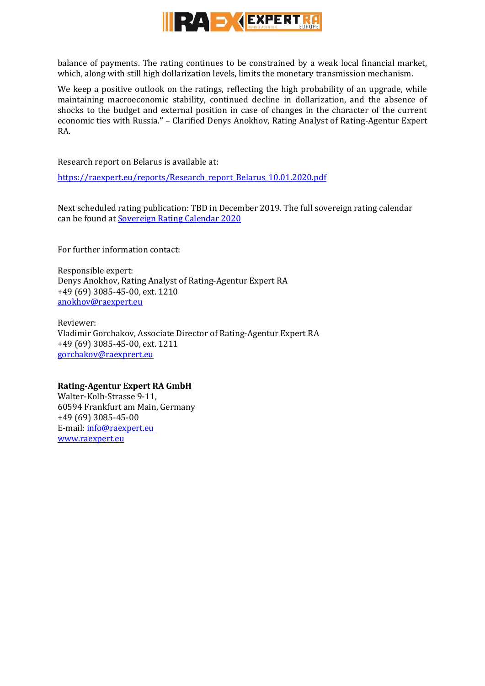

balance of payments. The rating continues to be constrained by a weak local financial market, which, along with still high dollarization levels, limits the monetary transmission mechanism.

We keep a positive outlook on the ratings, reflecting the high probability of an upgrade, while maintaining macroeconomic stability, continued decline in dollarization, and the absence of shocks to the budget and external position in case of changes in the character of the current economic ties with Russia.**"** – Clarified Denys Anokhov, Rating Analyst of Rating-Agentur Expert RA.

Research report on Belarus is available at:

[https://raexpert.eu/reports/Research\\_report\\_Belarus\\_10.01.2020.pdf](https://raexpert.eu/reports/Research_report_Belarus_10.01.2020.pdf)

Next scheduled rating publication: TBD in December 2019. The full sovereign rating calendar can be found at [Sovereign Rating Calendar 2020](https://raexpert.eu/sovereign/#conf-tab-5)

For further information contact:

Responsible expert: Denys Anokhov, Rating Analyst of Rating-Agentur Expert RA +49 (69) 3085-45-00, ext. 1210 [anokhov@raexpert.eu](mailto:anokhov@raexpert.eu)

Reviewer: Vladimir Gorchakov, Associate Director of Rating-Agentur Expert RA +49 (69) 3085-45-00, ext. 1211 [gorchakov@raexprert.eu](mailto:gorchakov@raexprert.eu)

### **Rating-Agentur Expert RA GmbH**

Walter-Kolb-Strasse 9-11, 60594 Frankfurt am Main, Germany +49 (69) 3085-45-00 E-mail[: info@raexpert.eu](mailto:info@raexpert.eu) [www.raexpert.eu](http://raexpert.eu/)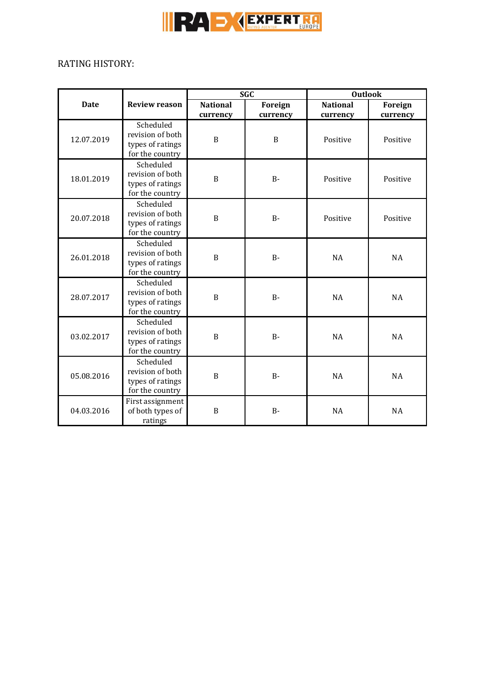

# RATING HISTORY:

|             |                                                                      | <b>SGC</b>                  |                     | <b>Outlook</b>              |                            |
|-------------|----------------------------------------------------------------------|-----------------------------|---------------------|-----------------------------|----------------------------|
| <b>Date</b> | <b>Review reason</b>                                                 | <b>National</b><br>currency | Foreign<br>currency | <b>National</b><br>currency | <b>Foreign</b><br>currency |
| 12.07.2019  | Scheduled<br>revision of both<br>types of ratings<br>for the country | $\mathbf B$                 | B                   | Positive                    | Positive                   |
| 18.01.2019  | Scheduled<br>revision of both<br>types of ratings<br>for the country | B                           | $B -$               | Positive                    | Positive                   |
| 20.07.2018  | Scheduled<br>revision of both<br>types of ratings<br>for the country | $\mathbf B$                 | $B -$               | Positive                    | Positive                   |
| 26.01.2018  | Scheduled<br>revision of both<br>types of ratings<br>for the country | $\mathbf B$                 | $B -$               | <b>NA</b>                   | <b>NA</b>                  |
| 28.07.2017  | Scheduled<br>revision of both<br>types of ratings<br>for the country | B                           | $B -$               | <b>NA</b>                   | <b>NA</b>                  |
| 03.02.2017  | Scheduled<br>revision of both<br>types of ratings<br>for the country | $\mathbf B$                 | $B -$               | <b>NA</b>                   | <b>NA</b>                  |
| 05.08.2016  | Scheduled<br>revision of both<br>types of ratings<br>for the country | B                           | $B -$               | <b>NA</b>                   | NA                         |
| 04.03.2016  | First assignment<br>of both types of<br>ratings                      | B                           | $B-$                | <b>NA</b>                   | <b>NA</b>                  |